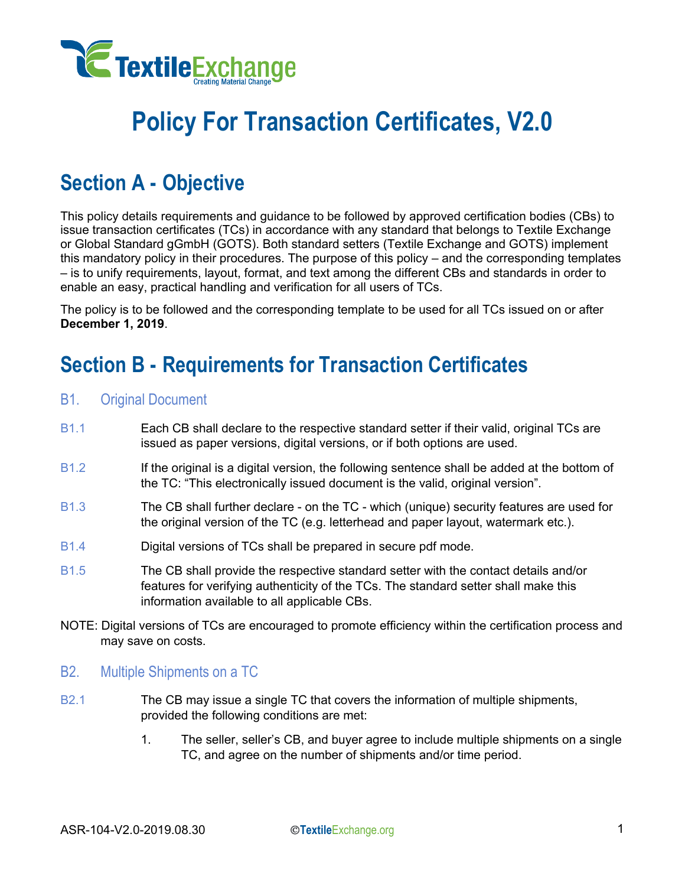

# **Policy For Transaction Certificates, V2.0**

## **Section A - Objective**

This policy details requirements and guidance to be followed by approved certification bodies (CBs) to issue transaction certificates (TCs) in accordance with any standard that belongs to Textile Exchange or Global Standard gGmbH (GOTS). Both standard setters (Textile Exchange and GOTS) implement this mandatory policy in their procedures. The purpose of this policy – and the corresponding templates – is to unify requirements, layout, format, and text among the different CBs and standards in order to enable an easy, practical handling and verification for all users of TCs.

The policy is to be followed and the corresponding template to be used for all TCs issued on or after **December 1, 2019**.

## **Section B - Requirements for Transaction Certificates**

- B1. Original Document
- B1.1 Each CB shall declare to the respective standard setter if their valid, original TCs are issued as paper versions, digital versions, or if both options are used.
- B1.2 If the original is a digital version, the following sentence shall be added at the bottom of the TC: "This electronically issued document is the valid, original version".
- B1.3 The CB shall further declare on the TC which (unique) security features are used for the original version of the TC (e.g. letterhead and paper layout, watermark etc.).
- B1.4 Digital versions of TCs shall be prepared in secure pdf mode.
- B1.5 The CB shall provide the respective standard setter with the contact details and/or features for verifying authenticity of the TCs. The standard setter shall make this information available to all applicable CBs.
- NOTE: Digital versions of TCs are encouraged to promote efficiency within the certification process and may save on costs.
- B2. Multiple Shipments on a TC
- B2.1 The CB may issue a single TC that covers the information of multiple shipments, provided the following conditions are met:
	- 1. The seller, seller's CB, and buyer agree to include multiple shipments on a single TC, and agree on the number of shipments and/or time period.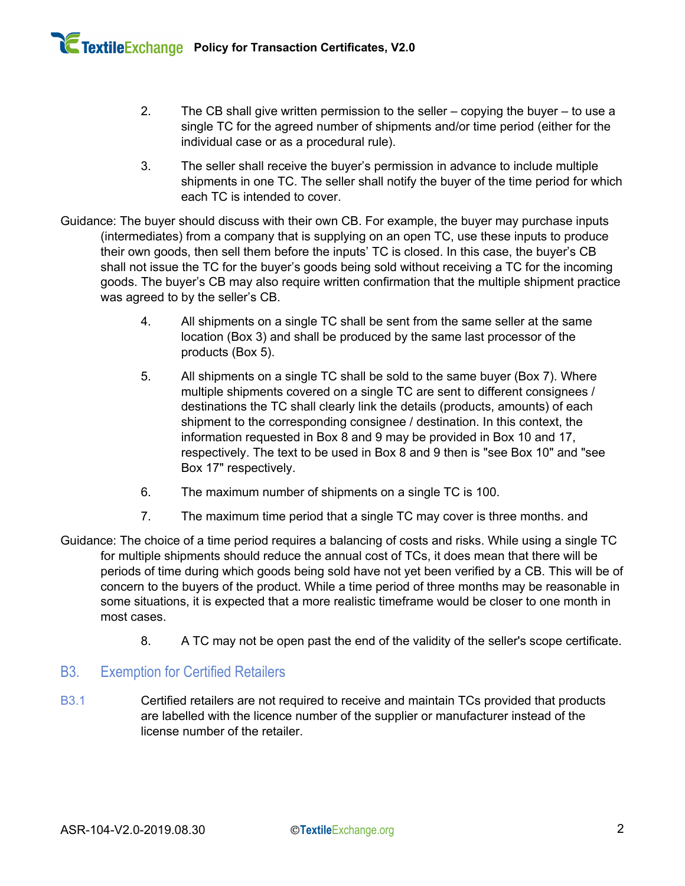- 2. The CB shall give written permission to the seller copying the buyer to use a single TC for the agreed number of shipments and/or time period (either for the individual case or as a procedural rule).
- 3. The seller shall receive the buyer's permission in advance to include multiple shipments in one TC. The seller shall notify the buyer of the time period for which each TC is intended to cover.
- Guidance: The buyer should discuss with their own CB. For example, the buyer may purchase inputs (intermediates) from a company that is supplying on an open TC, use these inputs to produce their own goods, then sell them before the inputs' TC is closed. In this case, the buyer's CB shall not issue the TC for the buyer's goods being sold without receiving a TC for the incoming goods. The buyer's CB may also require written confirmation that the multiple shipment practice was agreed to by the seller's CB.
	- 4. All shipments on a single TC shall be sent from the same seller at the same location (Box 3) and shall be produced by the same last processor of the products (Box 5).
	- 5. All shipments on a single TC shall be sold to the same buyer (Box 7). Where multiple shipments covered on a single TC are sent to different consignees / destinations the TC shall clearly link the details (products, amounts) of each shipment to the corresponding consignee / destination. In this context, the information requested in Box 8 and 9 may be provided in Box 10 and 17, respectively. The text to be used in Box 8 and 9 then is "see Box 10" and "see Box 17" respectively.
	- 6. The maximum number of shipments on a single TC is 100.
	- 7. The maximum time period that a single TC may cover is three months. and
- Guidance: The choice of a time period requires a balancing of costs and risks. While using a single TC for multiple shipments should reduce the annual cost of TCs, it does mean that there will be periods of time during which goods being sold have not yet been verified by a CB. This will be of concern to the buyers of the product. While a time period of three months may be reasonable in some situations, it is expected that a more realistic timeframe would be closer to one month in most cases.
	- 8. A TC may not be open past the end of the validity of the seller's scope certificate.

## B3. Exemption for Certified Retailers

B3.1 Certified retailers are not required to receive and maintain TCs provided that products are labelled with the licence number of the supplier or manufacturer instead of the license number of the retailer.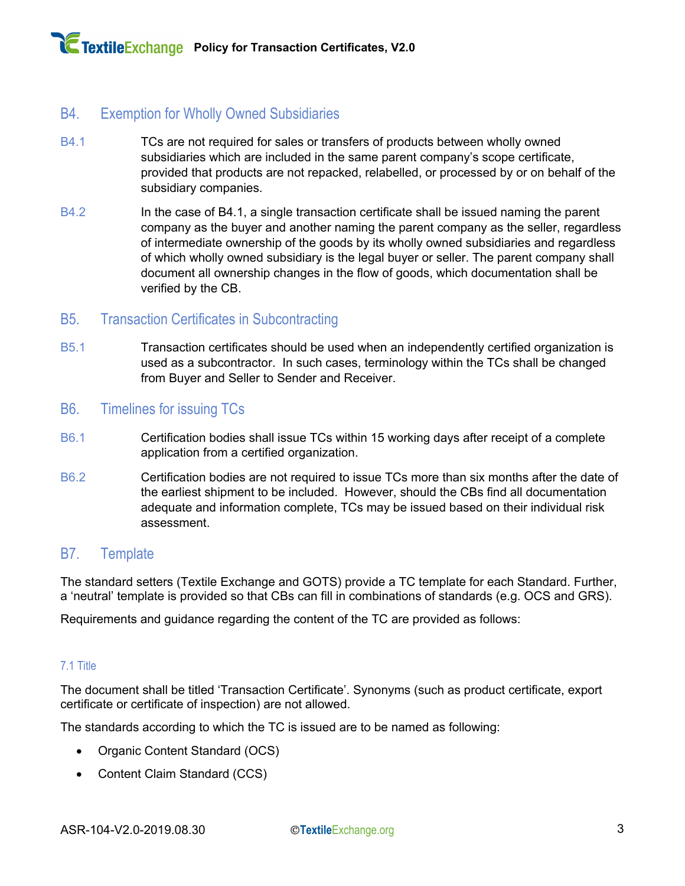## B4. Exemption for Wholly Owned Subsidiaries

- B4.1 TCs are not required for sales or transfers of products between wholly owned subsidiaries which are included in the same parent company's scope certificate, provided that products are not repacked, relabelled, or processed by or on behalf of the subsidiary companies.
- B4.2 **In the case of B4.1, a single transaction certificate shall be issued naming the parent** company as the buyer and another naming the parent company as the seller, regardless of intermediate ownership of the goods by its wholly owned subsidiaries and regardless of which wholly owned subsidiary is the legal buyer or seller. The parent company shall document all ownership changes in the flow of goods, which documentation shall be verified by the CB.

## B5. Transaction Certificates in Subcontracting

B5.1 Transaction certificates should be used when an independently certified organization is used as a subcontractor. In such cases, terminology within the TCs shall be changed from Buyer and Seller to Sender and Receiver.

### B6. Timelines for issuing TCs

- B6.1 Certification bodies shall issue TCs within 15 working days after receipt of a complete application from a certified organization.
- B6.2 Certification bodies are not required to issue TCs more than six months after the date of the earliest shipment to be included. However, should the CBs find all documentation adequate and information complete, TCs may be issued based on their individual risk assessment.

### B7. Template

The standard setters (Textile Exchange and GOTS) provide a TC template for each Standard. Further, a 'neutral' template is provided so that CBs can fill in combinations of standards (e.g. OCS and GRS).

Requirements and guidance regarding the content of the TC are provided as follows:

#### 7.1 Title

The document shall be titled 'Transaction Certificate'. Synonyms (such as product certificate, export certificate or certificate of inspection) are not allowed.

The standards according to which the TC is issued are to be named as following:

- Organic Content Standard (OCS)
- Content Claim Standard (CCS)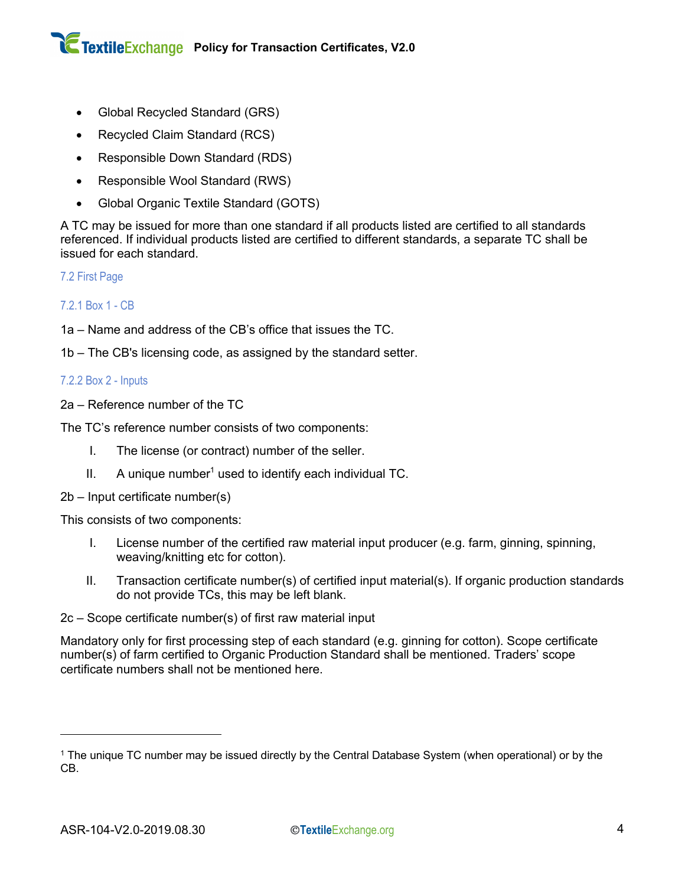- Global Recycled Standard (GRS)
- Recycled Claim Standard (RCS)
- Responsible Down Standard (RDS)
- Responsible Wool Standard (RWS)
- Global Organic Textile Standard (GOTS)

A TC may be issued for more than one standard if all products listed are certified to all standards referenced. If individual products listed are certified to different standards, a separate TC shall be issued for each standard.

7.2 First Page

#### 7.2.1 Box 1 - CB

1a – Name and address of the CB's office that issues the TC.

1b – The CB's licensing code, as assigned by the standard setter.

#### 7.2.2 Box 2 - Inputs

2a – Reference number of the TC

The TC's reference number consists of two components:

- I. The license (or contract) number of the seller.
- II. A unique number<sup>1</sup> used to identify each individual TC.
- 2b Input certificate number(s)

This consists of two components:

- I. License number of the certified raw material input producer (e.g. farm, ginning, spinning, weaving/knitting etc for cotton).
- II. Transaction certificate number(s) of certified input material(s). If organic production standards do not provide TCs, this may be left blank.

2c – Scope certificate number(s) of first raw material input

Mandatory only for first processing step of each standard (e.g. ginning for cotton). Scope certificate number(s) of farm certified to Organic Production Standard shall be mentioned. Traders' scope certificate numbers shall not be mentioned here.

<sup>&</sup>lt;sup>1</sup> The unique TC number may be issued directly by the Central Database System (when operational) or by the CB.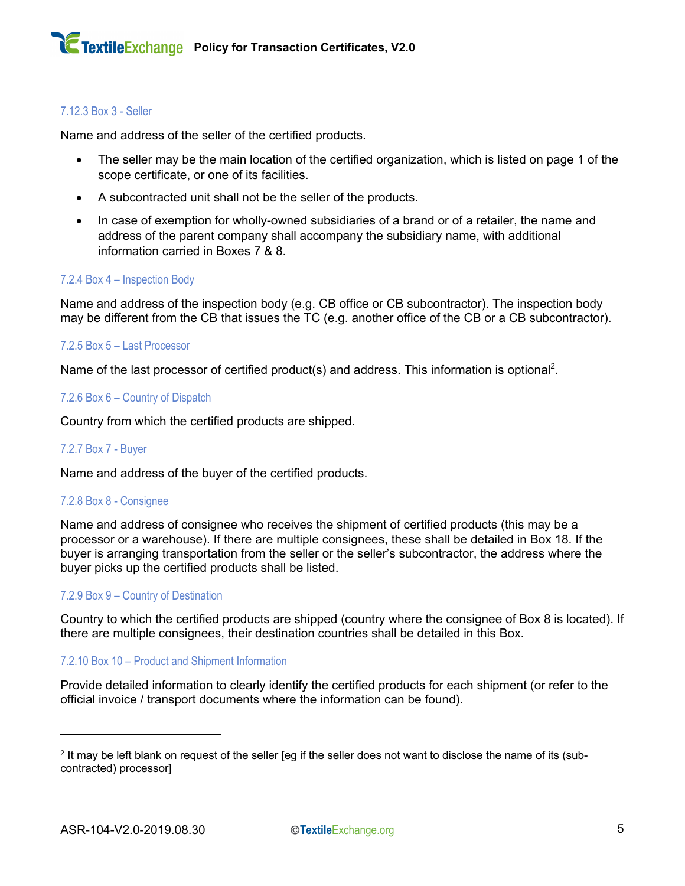#### 7.12.3 Box 3 - Seller

Name and address of the seller of the certified products.

- The seller may be the main location of the certified organization, which is listed on page 1 of the scope certificate, or one of its facilities.
- A subcontracted unit shall not be the seller of the products.
- In case of exemption for wholly-owned subsidiaries of a brand or of a retailer, the name and address of the parent company shall accompany the subsidiary name, with additional information carried in Boxes 7 & 8.

#### 7.2.4 Box 4 – Inspection Body

Name and address of the inspection body (e.g. CB office or CB subcontractor). The inspection body may be different from the CB that issues the TC (e.g. another office of the CB or a CB subcontractor).

#### 7.2.5 Box 5 – Last Processor

Name of the last processor of certified product(s) and address. This information is optional<sup>2</sup>.

#### 7.2.6 Box 6 – Country of Dispatch

Country from which the certified products are shipped.

#### 7.2.7 Box 7 - Buyer

Name and address of the buyer of the certified products.

#### 7.2.8 Box 8 - Consignee

Name and address of consignee who receives the shipment of certified products (this may be a processor or a warehouse). If there are multiple consignees, these shall be detailed in Box 18. If the buyer is arranging transportation from the seller or the seller's subcontractor, the address where the buyer picks up the certified products shall be listed.

#### 7.2.9 Box 9 – Country of Destination

Country to which the certified products are shipped (country where the consignee of Box 8 is located). If there are multiple consignees, their destination countries shall be detailed in this Box.

#### 7.2.10 Box 10 – Product and Shipment Information

Provide detailed information to clearly identify the certified products for each shipment (or refer to the official invoice / transport documents where the information can be found).

 $2$  It may be left blank on request of the seller [eq if the seller does not want to disclose the name of its (subcontracted) processor]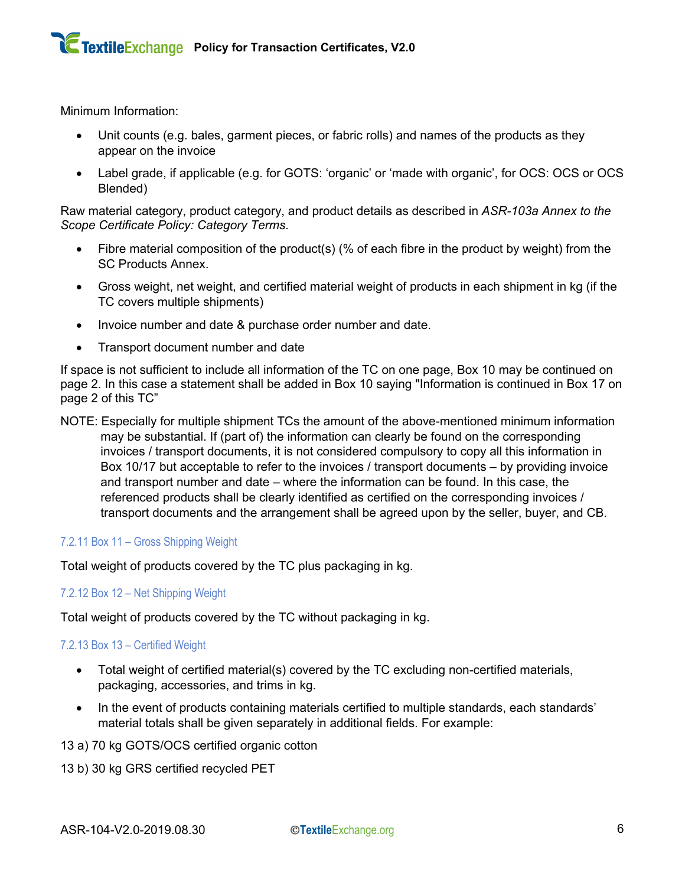Minimum Information:

- Unit counts (e.g. bales, garment pieces, or fabric rolls) and names of the products as they appear on the invoice
- Label grade, if applicable (e.g. for GOTS: 'organic' or 'made with organic', for OCS: OCS or OCS Blended)

Raw material category, product category, and product details as described in *ASR-103a Annex to the Scope Certificate Policy: Category Terms*.

- Fibre material composition of the product(s) (% of each fibre in the product by weight) from the SC Products Annex.
- Gross weight, net weight, and certified material weight of products in each shipment in kg (if the TC covers multiple shipments)
- Invoice number and date & purchase order number and date.
- Transport document number and date

If space is not sufficient to include all information of the TC on one page, Box 10 may be continued on page 2. In this case a statement shall be added in Box 10 saying "Information is continued in Box 17 on page 2 of this TC"

NOTE: Especially for multiple shipment TCs the amount of the above-mentioned minimum information may be substantial. If (part of) the information can clearly be found on the corresponding invoices / transport documents, it is not considered compulsory to copy all this information in Box 10/17 but acceptable to refer to the invoices / transport documents – by providing invoice and transport number and date – where the information can be found. In this case, the referenced products shall be clearly identified as certified on the corresponding invoices / transport documents and the arrangement shall be agreed upon by the seller, buyer, and CB.

#### 7.2.11 Box 11 – Gross Shipping Weight

Total weight of products covered by the TC plus packaging in kg.

#### 7.2.12 Box 12 – Net Shipping Weight

Total weight of products covered by the TC without packaging in kg.

#### 7.2.13 Box 13 – Certified Weight

- Total weight of certified material(s) covered by the TC excluding non-certified materials, packaging, accessories, and trims in kg.
- In the event of products containing materials certified to multiple standards, each standards' material totals shall be given separately in additional fields. For example:

13 a) 70 kg GOTS/OCS certified organic cotton

13 b) 30 kg GRS certified recycled PET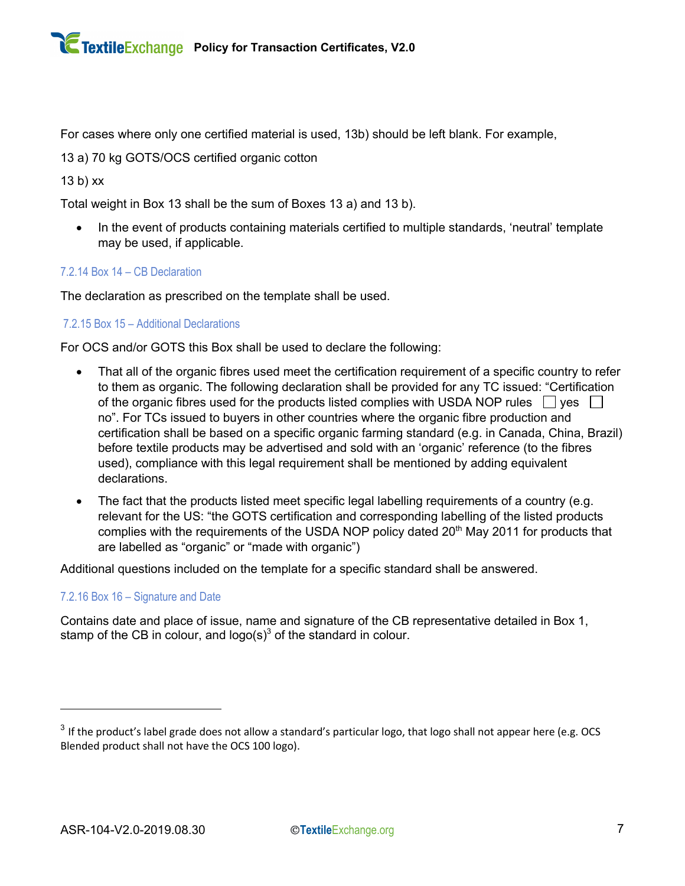For cases where only one certified material is used, 13b) should be left blank. For example,

13 a) 70 kg GOTS/OCS certified organic cotton

13 b) xx

Total weight in Box 13 shall be the sum of Boxes 13 a) and 13 b).

In the event of products containing materials certified to multiple standards, 'neutral' template may be used, if applicable.

#### 7.2.14 Box 14 – CB Declaration

The declaration as prescribed on the template shall be used.

#### 7.2.15 Box 15 – Additional Declarations

For OCS and/or GOTS this Box shall be used to declare the following:

- That all of the organic fibres used meet the certification requirement of a specific country to refer to them as organic. The following declaration shall be provided for any TC issued: "Certification of the organic fibres used for the products listed complies with USDA NOP rules  $\Box$  yes  $\Box$ no". For TCs issued to buyers in other countries where the organic fibre production and certification shall be based on a specific organic farming standard (e.g. in Canada, China, Brazil) before textile products may be advertised and sold with an 'organic' reference (to the fibres used), compliance with this legal requirement shall be mentioned by adding equivalent declarations.
- The fact that the products listed meet specific legal labelling requirements of a country (e.g. relevant for the US: "the GOTS certification and corresponding labelling of the listed products complies with the requirements of the USDA NOP policy dated 20<sup>th</sup> May 2011 for products that are labelled as "organic" or "made with organic")

Additional questions included on the template for a specific standard shall be answered.

#### 7.2.16 Box 16 – Signature and Date

Contains date and place of issue, name and signature of the CB representative detailed in Box 1, stamp of the CB in colour, and  $logo(s)<sup>3</sup>$  of the standard in colour.

 $3$  If the product's label grade does not allow a standard's particular logo, that logo shall not appear here (e.g. OCS Blended product shall not have the OCS 100 logo).